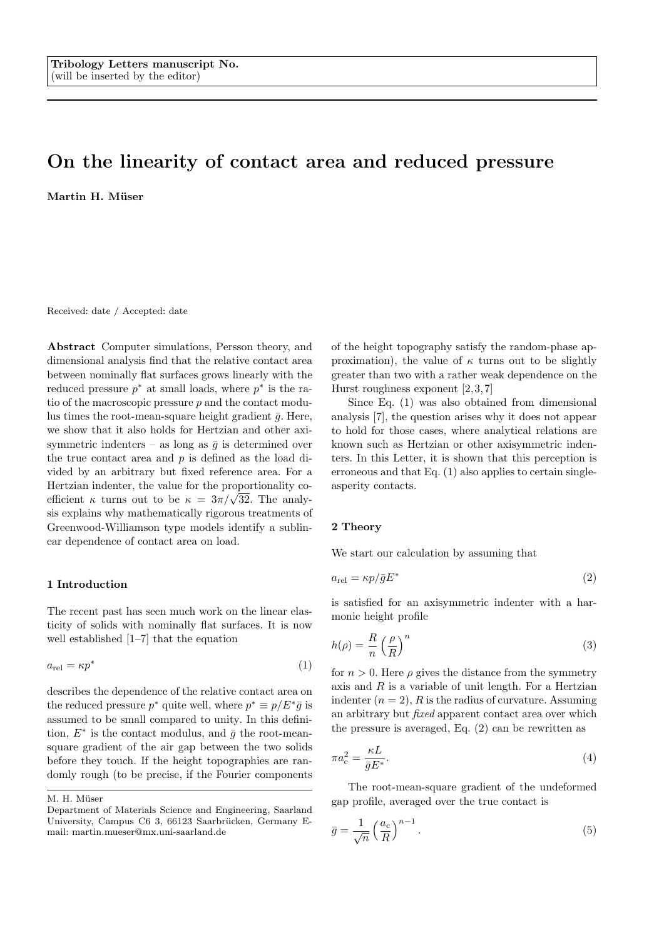# On the linearity of contact area and reduced pressure

Martin H. Müser

Received: date / Accepted: date

Abstract Computer simulations, Persson theory, and dimensional analysis find that the relative contact area between nominally flat surfaces grows linearly with the reduced pressure  $p^*$  at small loads, where  $p^*$  is the ratio of the macroscopic pressure  $p$  and the contact modulus times the root-mean-square height gradient  $\bar{g}$ . Here, we show that it also holds for Hertzian and other axisymmetric indenters – as long as  $\bar{g}$  is determined over the true contact area and p is defined as the load divided by an arbitrary but fixed reference area. For a Hertzian indenter, the value for the proportionality co-**EXECUTE:** The value for the proportionality coefficient *κ* turns out to be  $κ = 3π/\sqrt{32}$ . The analysis explains why mathematically rigorous treatments of Greenwood-Williamson type models identify a sublinear dependence of contact area on load.

## 1 Introduction

The recent past has seen much work on the linear elasticity of solids with nominally flat surfaces. It is now well established [1–7] that the equation

$$
a_{\rm rel} = \kappa p^* \tag{1}
$$

describes the dependence of the relative contact area on the reduced pressure  $p^*$  quite well, where  $p^* \equiv p/E^* \bar{g}$  is assumed to be small compared to unity. In this definition,  $E^*$  is the contact modulus, and  $\bar{g}$  the root-meansquare gradient of the air gap between the two solids before they touch. If the height topographies are randomly rough (to be precise, if the Fourier components

M. H. Müser

of the height topography satisfy the random-phase approximation), the value of  $\kappa$  turns out to be slightly greater than two with a rather weak dependence on the Hurst roughness exponent  $[2,3,7]$ 

Since Eq. (1) was also obtained from dimensional analysis [7], the question arises why it does not appear to hold for those cases, where analytical relations are known such as Hertzian or other axisymmetric indenters. In this Letter, it is shown that this perception is erroneous and that Eq. (1) also applies to certain singleasperity contacts.

#### 2 Theory

We start our calculation by assuming that

$$
a_{\rm rel} = \kappa p / \bar{g} E^* \tag{2}
$$

is satisfied for an axisymmetric indenter with a harmonic height profile

$$
h(\rho) = \frac{R}{n} \left(\frac{\rho}{R}\right)^n \tag{3}
$$

for  $n > 0$ . Here  $\rho$  gives the distance from the symmetry axis and  $R$  is a variable of unit length. For a Hertzian indenter  $(n = 2)$ , R is the radius of curvature. Assuming an arbitrary but fixed apparent contact area over which the pressure is averaged, Eq. (2) can be rewritten as

$$
\pi a_{\rm c}^2 = \frac{\kappa L}{\bar{g} E^*}.\tag{4}
$$

The root-mean-square gradient of the undeformed gap profile, averaged over the true contact is

$$
\bar{g} = \frac{1}{\sqrt{n}} \left(\frac{a_c}{R}\right)^{n-1}.
$$
\n(5)

Department of Materials Science and Engineering, Saarland University, Campus C6 3, 66123 Saarbrücken, Germany Email: martin.mueser@mx.uni-saarland.de